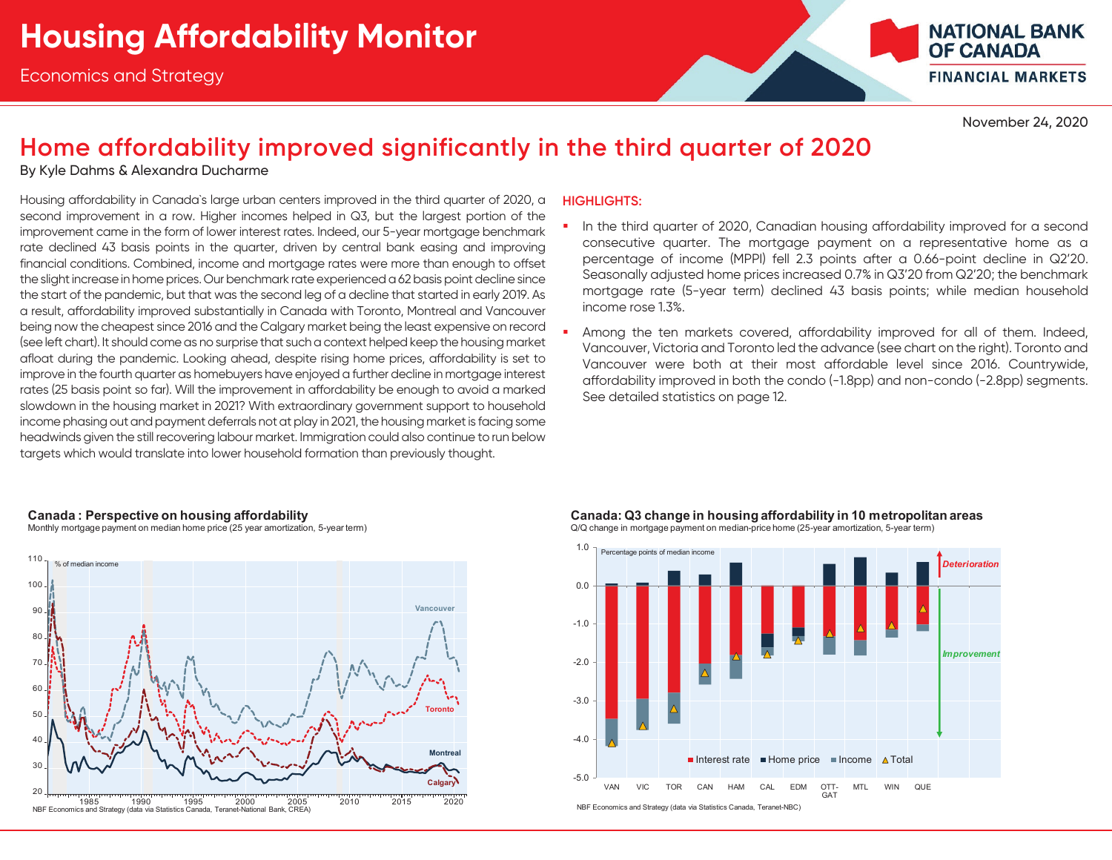

November 24, 2020

#### **Home affordability improved significantly in the third quarter of 2020**

By Kyle Dahms & Alexandra Ducharme

Housing affordability in Canada`s large urban centers improved in the third quarter of 2020, a second improvement in a row. Higher incomes helped in Q3, but the largest portion of the improvement came in the form of lower interest rates. Indeed, our 5-year mortgage benchmark rate declined 43 basis points in the quarter, driven by central bank easing and improving financial conditions. Combined, income and mortgage rates were more than enough to offset the slight increase in home prices. Our benchmark rate experienced a 62 basis point decline since the start of the pandemic, but that was the second leg of a decline that started in early 2019. As a result, affordability improved substantially in Canada with Toronto, Montreal and Vancouver being now the cheapest since 2016 and the Calgary market being the least expensive on record (see left chart). It should come as no surprise that such a context helped keep the housing market afloat during the pandemic. Looking ahead, despite rising home prices, affordability is set to improve in the fourth quarter as homebuyers have enjoyed a further decline in mortgage interest rates (25 basis point so far). Will the improvement in affordability be enough to avoid a marked slowdown in the housing market in 2021? With extraordinary government support to household income phasing out and payment deferrals not at play in 2021, the housing market is facing some headwinds given the still recovering labour market. Immigration could also continue to run below targets which would translate into lower household formation than previously thought.

#### **HIGHLIGHTS:**

- In the third quarter of 2020, Canadian housing affordability improved for a second consecutive quarter. The mortgage payment on a representative home as a percentage of income (MPPI) fell 2.3 points after a 0.66-point decline in Q2'20. Seasonally adjusted home prices increased 0.7% in Q3'20 from Q2'20; the benchmark mortgage rate (5-year term) declined 43 basis points; while median household income rose 1.3%.
- ш Among the ten markets covered, affordability improved for all of them. Indeed, Vancouver, Victoria and Toronto led the advance (see chart on the right). Toronto and Vancouver were both at their most affordable level since 2016. Countrywide, affordability improved in both the condo (-1.8pp) and non-condo (-2.8pp) segments. See detailed statistics on page 12.

#### **Canada: Perspective on housing affordability**

Monthly mortgage payment on median home price (25 year amortization, 5-year term)



Canada: Q3 change in housing affordability in 10 metropolitan areas Q/Q change in mortgage payment on median-price home (25-year amortization, 5-year term)

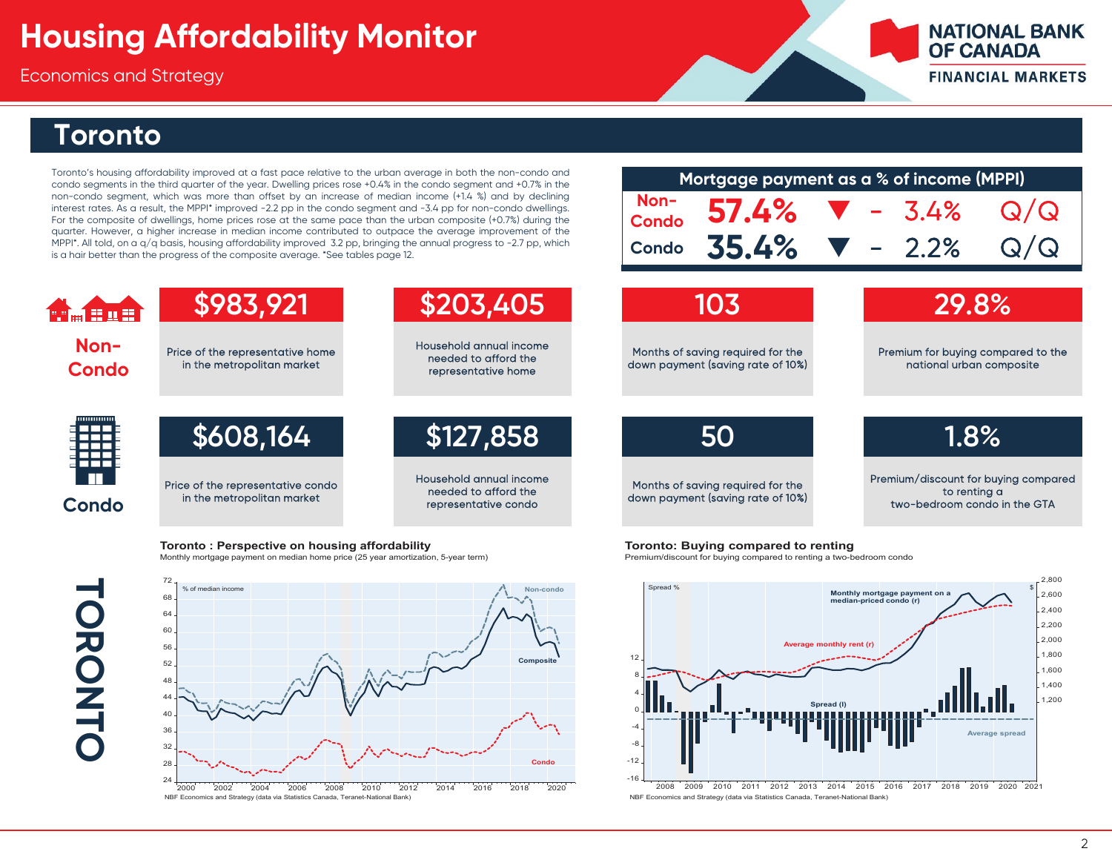Economics and Strategy

#### **NATIONAL BANK OF CANADA FINANCIAL MARKETS**

#### **Toronto**

**Non-Condo**

**HAETH** 

Toronto's housing affordability improved at <sup>a</sup> fast pace relative to the urban average in both the non-condo and condo segments in the third quarter of the year. Dwelling prices rose +0.4% in the condo segment and +0.7% in the non-condo segment, which was more than offset by an increase of median income (+1.4 %) and by declining interest rates. As <sup>a</sup> result, the MPPI\* improved -2.2 pp in the condo segment and -3.4 pp for non-condo dwellings. For the composite of dwellings, home prices rose at the same pace than the urban composite (+0.7%) during the quarter. However, <sup>a</sup> higher increase in median income contributed to outpace the average improvement of the MPPI\*. All told, on a  $q/q$  basis, housing affordability improved 3.2 pp, bringing the annual progress to -2.7 pp, which is a hair better than the progress of the composite average. \*See tables page 12.

|                      |       | Mortgage payment as a % of income (MPPI) |         |                      |  |  |  |  |  |
|----------------------|-------|------------------------------------------|---------|----------------------|--|--|--|--|--|
| Non-<br><b>Condo</b> | 57.4% |                                          | $-3.4%$ | $\bf Q$<br>$\Omega/$ |  |  |  |  |  |
| Condo                | 35.4% |                                          | $-2.2%$ |                      |  |  |  |  |  |
|                      |       |                                          |         |                      |  |  |  |  |  |
|                      | 103   |                                          | 29.8%   |                      |  |  |  |  |  |

**50**

Months of saving required for the down payment (saving rate of 10%) Premium/discount for buying compared to renting a two-bedroom condo in the GTA

**1.8%**

**Toronto: Perspective on housing affordability** Monthly mortgage payment on median home price (25 year amortization, 5-year term)

Price of the representative condo in the metropolitan market

**\$983,921**

Price of the representative home in the metropolitan market

# **TORONTO LORONTC**

**Condo**



**\$608,164 \$127,858**

Household annual income needed to afford the representative condo

**\$203,405**

Household annual income needed to afford the representative home

**Toronto: Buying compared to renting** 

Premium/discount for buying compared to renting a two-bedroom condo



2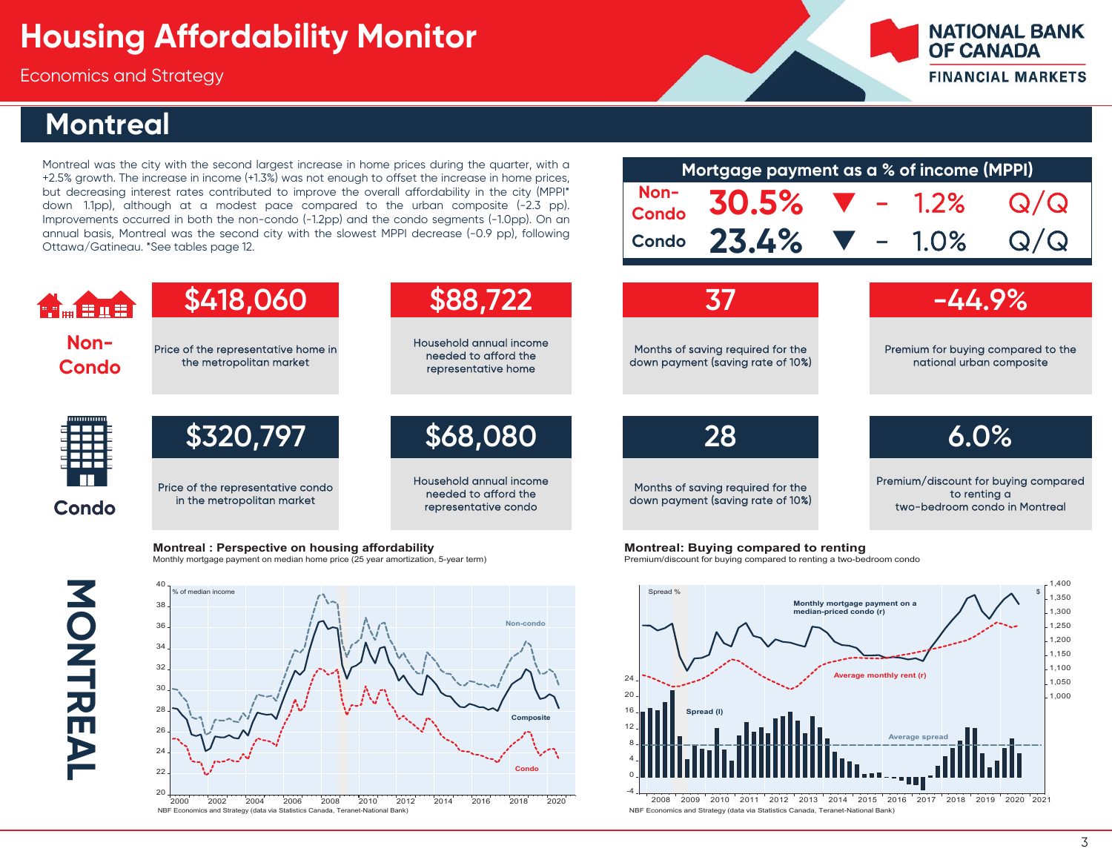Economics and Strategy

#### **Montreal**

Montreal was the city with the second largest increase in home prices during the quarter, with <sup>a</sup> +2.5% growth. The increase in income (+1.3%) was not enough to offset the increase in home prices, but decreasing interest rates contributed to improve the overall affordability in the city (MPPI\* down 1.1pp), although at <sup>a</sup> modest pace compared to the urban composite (-2.3 pp). Improvements occurred in both the non-condo (-1.2pp) and the condo segments (-1.0pp). On an annual basis, Montreal was the second city with the slowest MPPI decrease (-0.9 pp), following Ottawa/Gatineau. \*See tables page 12.

| Mortgage payment as a % of income (MPPI) |                                        |  |  |  |     |  |  |  |  |  |
|------------------------------------------|----------------------------------------|--|--|--|-----|--|--|--|--|--|
|                                          | Non- 30.5% $\blacktriangledown$ - 1.2% |  |  |  | Q/Q |  |  |  |  |  |
|                                          | Condo 23.4% $\nabla$ - 1.0% Q/Q        |  |  |  |     |  |  |  |  |  |
|                                          |                                        |  |  |  |     |  |  |  |  |  |

**NATIONAL BANK** 

**FINANCIAL MARKETS** 

**OF CANADA** 

**\$418,060 \$88,722 37 -44.9%**  $\mathbf{H}_{\mathrm{m}}$   $\mathbf{H}$  with **Non-**Household annual income Price of the representative home in Months of saving required for the Premium for buying compared to the needed to afford the the metropolitan market down payment (saving rate of 10%) national urban composite **Condo** representative home **\$320,797 \$68,080 28 6.0%** Household annual income Premium/discount for buying compared Price of the representative condo Months of saving required for the needed to afford the to renting a in the metropolitan market down payment (saving rate of 10%) **Condo** representative condo two-bedroom condo in Montreal

**Montreal: Perspective on housing affordability** Monthly mortgage payment on median home price (25 year amortization, 5-year term)

**MONTREAL** MONTREAL



**Montreal: Buying compared to renting** 

Premium/discount for buying compared to renting a two-bedroom condo



NBF Economics and Strategy (data via Statistics Canada, Teranet-National Bank)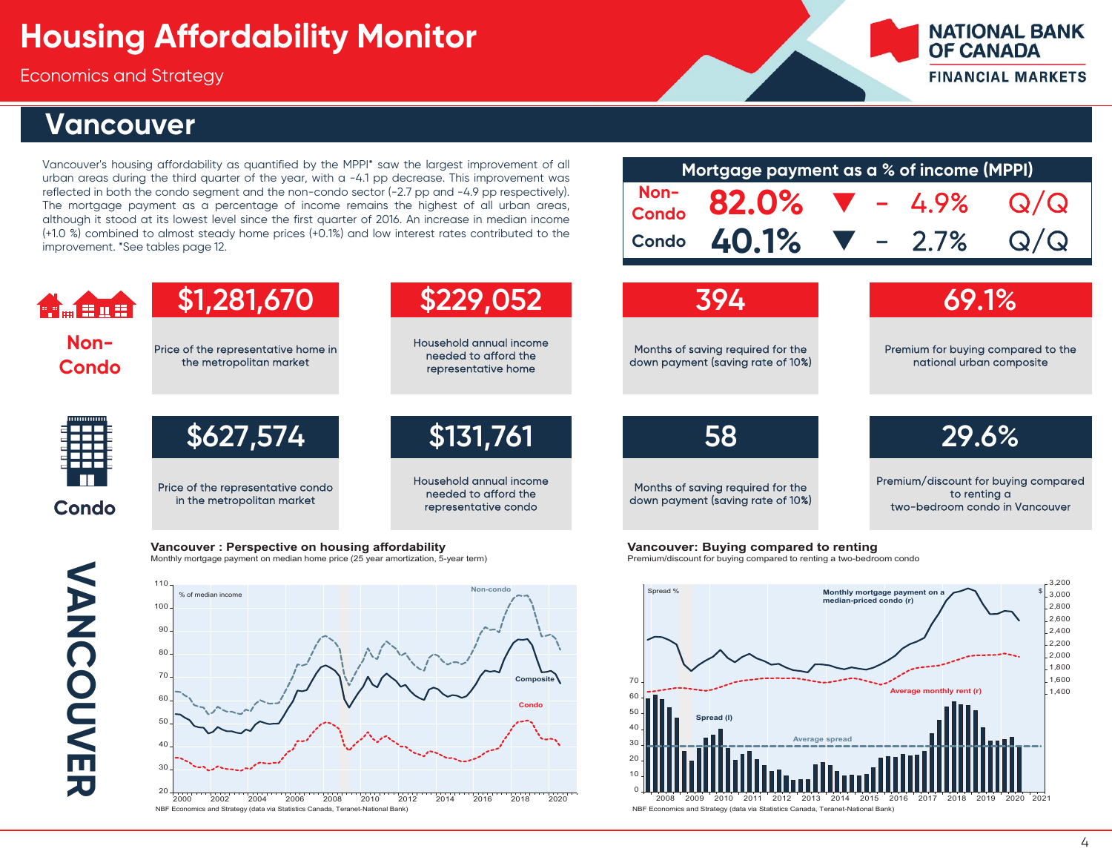Price of the representative home in the metropolitan market

Price of the representative condo in the metropolitan market

Economics and Strategy

#### **Vancouver**

Vancouver's housing affordability as quantified by the MPPI\* saw the largest improvement of all urban areas during the third quarter of the year, with <sup>a</sup> -4.1 pp decrease. This improvement was reflected in both the condo segment and the non-condo sector (-2.7 pp and -4.9 pp respectively). The mortgage payment as <sup>a</sup> percentage of income remains the highest of all urban areas, although it stood at its lowest level since the first quarter of 2016. An increase in median income (+1.0 %) combined to almost steady home prices (+0.1%) and low interest rates contributed to the improvement. \*See tables page 12.

**\$1,281,670 \$229,052 394 69.1%**

Household annual income needed to afford the representative home

Household annual income needed to afford the representative condo

| Mortgage payment as a % of income (MPPI) |                                   |  |                                    |                              |     |  |  |  |  |  |
|------------------------------------------|-----------------------------------|--|------------------------------------|------------------------------|-----|--|--|--|--|--|
| Non-<br>Condo                            | 82.0%                             |  |                                    | $\blacktriangledown - 4.9\%$ | Q/Q |  |  |  |  |  |
| <b>Condo</b>                             | 40.1%                             |  |                                    | $\blacktriangledown -2.7\%$  |     |  |  |  |  |  |
| 1394                                     |                                   |  | 69.1%                              |                              |     |  |  |  |  |  |
|                                          | Months of savina reauired for the |  | Premium for buying compared to the |                              |     |  |  |  |  |  |

Months of saving required for the down payment (saving rate of 10%)

**\$627,574 \$131,761 58 29.6%**

Months of saving required for the down payment (saving rate of 10%) Premium/discount for buying compared to renting a two-bedroom condo in Vancouver

national urban composite

**NATIONAL BANK** 

**FINANCIAL MARKETS** 

**OF CANADA** 

**VANCOUVER VANCOUVER** 

**Condo**

**Non-Condo**

 $\blacksquare$   $\blacksquare$   $\blacksquare$   $\blacksquare$ 



**Vancouver: Buying compared to renting** 

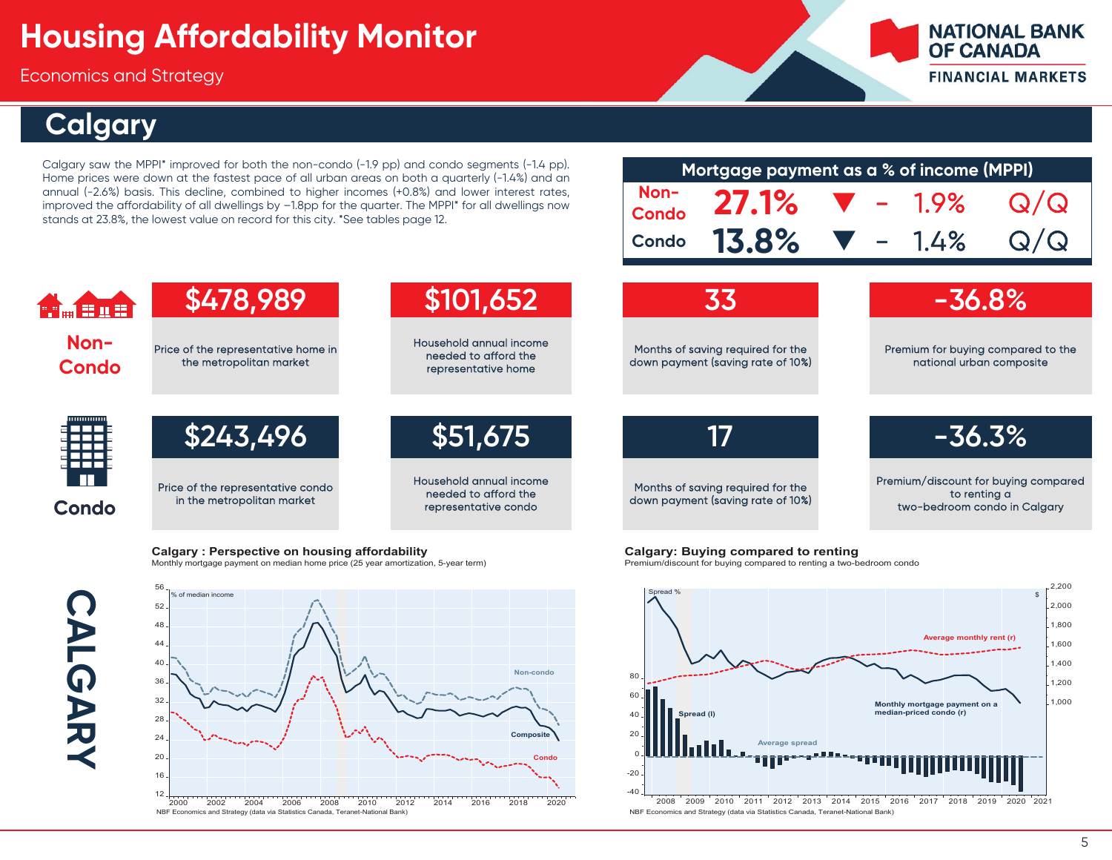Economics and Strategy

### **Calgary**

Calgary saw the MPPI\* improved for both the non-condo (-1.9 pp) and condo segments (-1.4 pp). Home prices were down at the fastest pace of all urban areas on both <sup>a</sup> quarterly (-1.4%) and an annual (-2.6%) basis. This decline, combined to higher incomes (+0.8%) and lower interest rates, improved the affordability of all dwellings by –1.8pp for the quarter. The MPPI\* for all dwellings now stands at 23.8%, the lowest value on record for this city. \*See tables page 12.

| Mortgage payment as a % of income (MPPI) |                                                 |  |                              |     |  |  |  |  |  |  |
|------------------------------------------|-------------------------------------------------|--|------------------------------|-----|--|--|--|--|--|--|
|                                          | Non-<br>Condo 27.1% $\blacktriangledown$ - 1.9% |  |                              | Q/Q |  |  |  |  |  |  |
| <b>Condo</b>                             | <b>13.8%</b>                                    |  | $\blacktriangledown - 1.4\%$ | Q/Q |  |  |  |  |  |  |
|                                          |                                                 |  |                              |     |  |  |  |  |  |  |

**NATIONAL BANK** 

**FINANCIAL MARKETS** 

**OF CANADA** 



**Calgary: Perspective on housing affordability** Monthly mortgage payment on median home price (25 year amortization, 5-year term)

**CALGARY** CALGARY



Calgary: Buying compared to renting

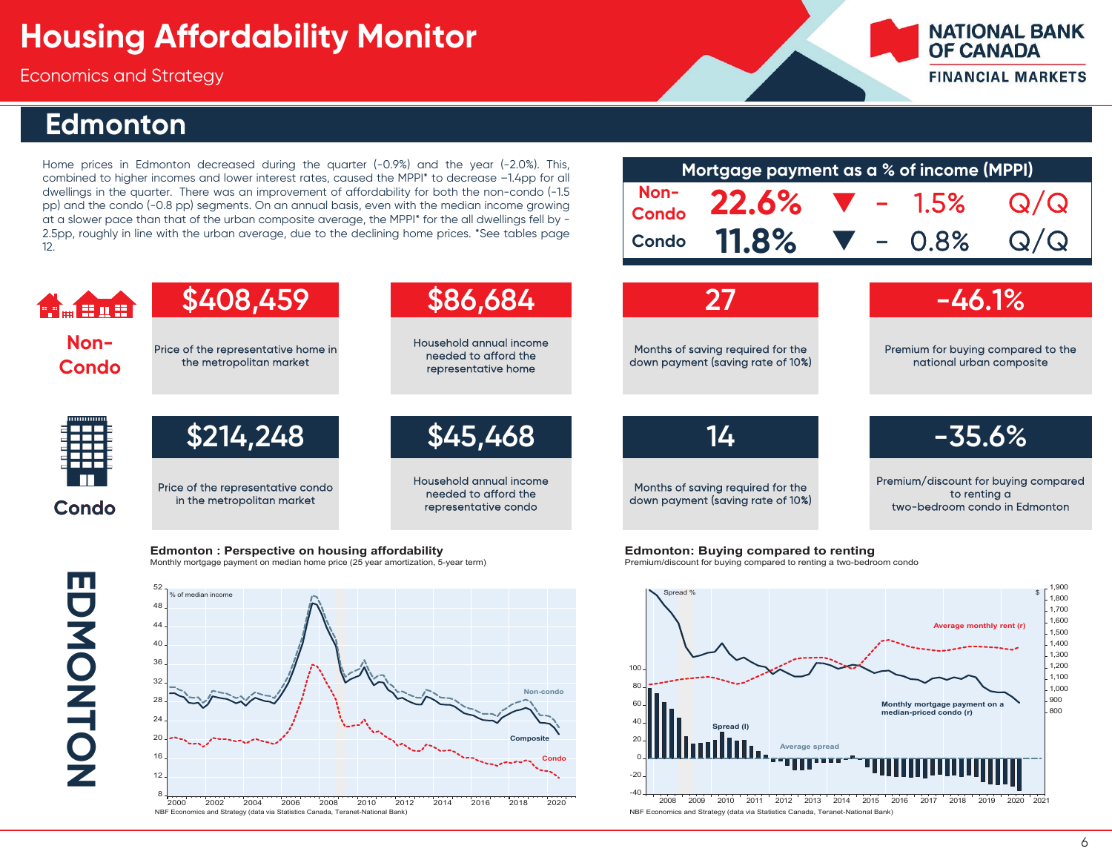Economics and Strategy

#### **Edmonton**

Home prices in Edmonton decreased during the quarter (-0.9%) and the year (-2.0%). This, combined to higher incomes and lower interest rates, caused the MPPI\* to decrease –1.4pp for all dwellings in the quarter. There was an improvement of affordability for both the non-condo (-1.5 pp) and the condo (-0.8 pp) segments. On an annual basis, even with the median income growing at <sup>a</sup> slower pace than that of the urban composite average, the MPPI\* for the all dwellings fell by - 2.5pp, roughly in line with the urban average, due to the declining home prices. \*See tables page 12.

**Edmonton: Perspective on housing affordability** 

|              |                                            | Mortgage payment as a % of income (MPPI) |  |                   |     |  |  |  |  |  |  |  |
|--------------|--------------------------------------------|------------------------------------------|--|-------------------|-----|--|--|--|--|--|--|--|
|              | Non- 22.6% $\blacktriangledown$ - 1.5% Q/Q |                                          |  |                   |     |  |  |  |  |  |  |  |
| <b>Condo</b> | <b>11.8%</b>                               |                                          |  | $\sqrt{6}$ – 0.8% | Q/Q |  |  |  |  |  |  |  |
|              |                                            |                                          |  |                   |     |  |  |  |  |  |  |  |

**NATIONAL BANK** 

**FINANCIAL MARKETS** 

**OF CANADA** 



**EDMONTON** EDMONTON



**Edmonton: Buying compared to renting** 

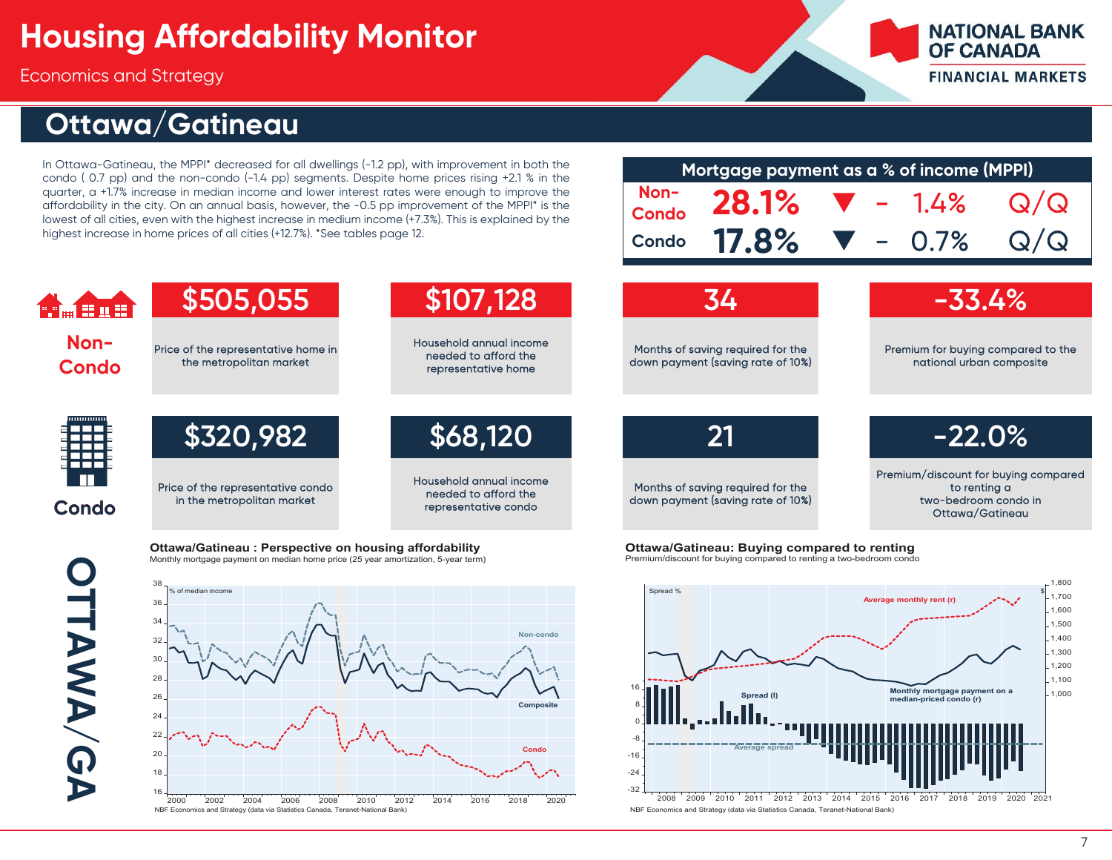Economics and Strategy

## **Ottawa/Gatineau**

In Ottawa-Gatineau, the MPPI\* decreased for all dwellings (-1.2 pp), with improvement in both the condo ( 0.7 pp) and the non-condo (-1.4 pp) segments. Despite home prices rising +2.1 % in the quarter, <sup>a</sup> +1.7% increase in median income and lower interest rates were enough to improve the affordability in the city. On an annual basis, however, the -0.5 pp improvement of the MPPI\* is the lowest of all cities, even with the highest increase in medium income (+7.3%). This is explained by the highest increase in home prices of all cities (+12.7%). \*See tables page 12.

|              | Mortgage payment as a % of income (MPPI) |  |     |
|--------------|------------------------------------------|--|-----|
|              | Non- 28.1% $\blacktriangledown$ - 1.4%   |  | Q/Q |
| <b>Condo</b> | <b>17.8%</b> $\blacktriangledown$ - 0.7% |  | Q/Q |
|              |                                          |  |     |

**NATIONAL BANK** 

**FINANCIAL MARKETS** 

**OF CANADA** 







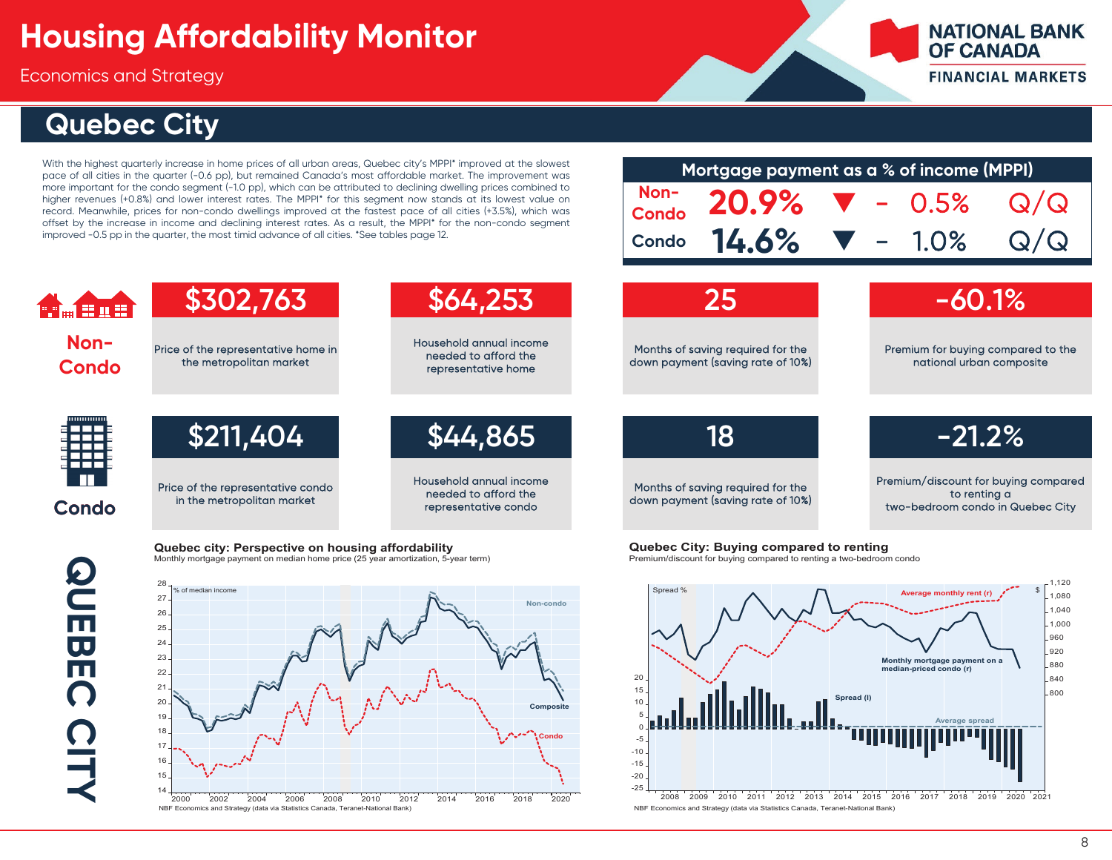Price of the representative home in the metropolitan market

Price of the representative condo in the metropolitan market

Quebec city: Perspective on housing affordability

Economics and Strategy

## **Quebec City**

With the highest quarterly increase in home prices of all urban areas, Quebec city's MPPI\* improved at the slowest pace of all cities in the quarter (-0.6 pp), but remained Canada's most affordable market. The improvement was more important for the condo segment (-1.0 pp), which can be attributed to declining dwelling prices combined to higher revenues (+0.8%) and lower interest rates. The MPPI\* for this segment now stands at its lowest value on record. Meanwhile, prices for non-condo dwellings improved at the fastest pace of all cities (+3.5%), which was offset by the increase in income and declining interest rates. As <sup>a</sup> result, the MPPI\* for the non-condo segment improved -0.5 pp in the quarter, the most timid advance of all cities. \*See tables page 12.

**\$302,763 \$64,253 25 -60.1%**

Household annual income needed to afford the representative home

Household annual income needed to afford the representative condo

|               | Mortgage payment as a % of income (MPPI) |  |                   |  |
|---------------|------------------------------------------|--|-------------------|--|
| Non-<br>Condo | 20.9%                                    |  | $-0.5%$           |  |
| <b>Condo</b>  | 14.6%                                    |  | $\sqrt{ }$ - 1.0% |  |
|               |                                          |  |                   |  |
|               | 25                                       |  | $-60.1%$          |  |

**\$211,404 \$44,865 18 -21.2%**

Months of saving required for the down payment (saving rate of 10%)

**Quebec City: Buying compared to renting** Premium/discount for buying compared to renting a two-bedroom condo



Premium/discount for buying compared to renting a two-bedroom condo in Quebec City

**NATIONAL BANK** 

**FINANCIAL MARKETS** 

**OF CANADA** 

# **QUEBECCITY**

**Condo**

**Non-Condo**

**PELLEDE** 

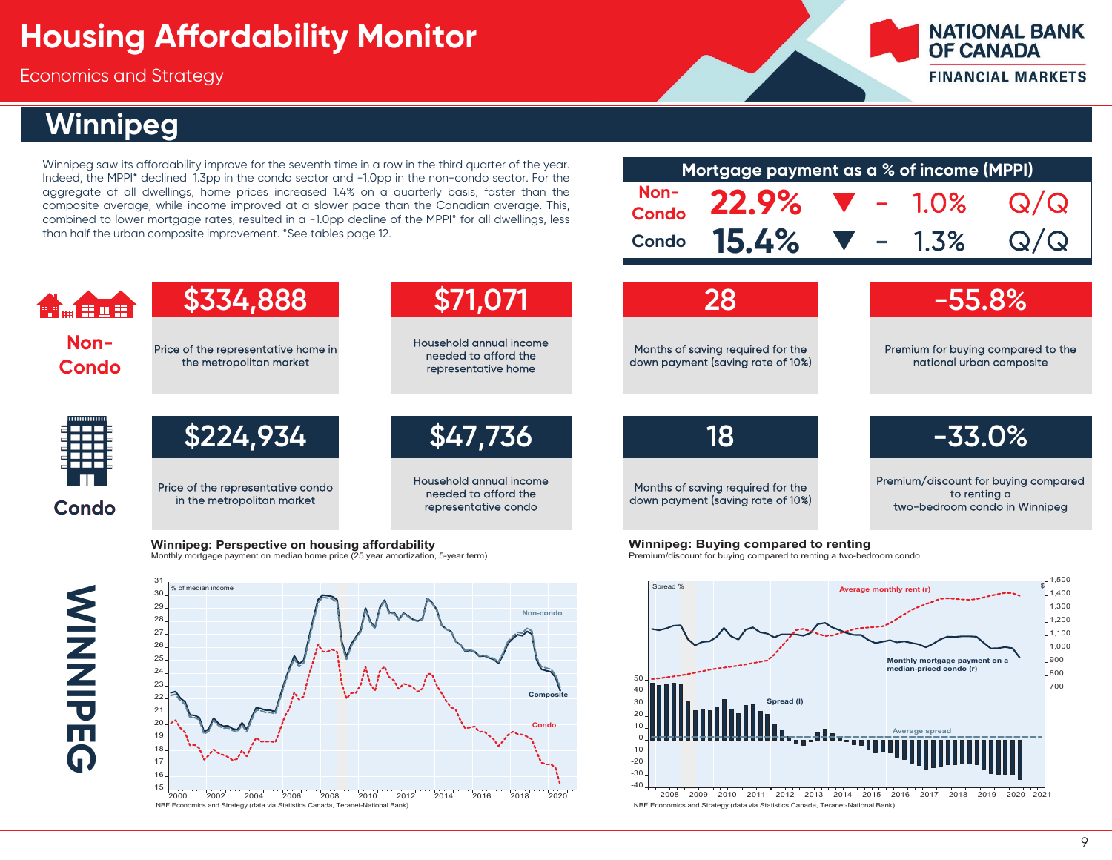Economics and Strategy

## **Winnipeg**

Winnipeg saw its affordability improve for the seventh time in <sup>a</sup> row in the third quarter of the year. Indeed, the MPPI\* declined 1.3pp in the condo sector and -1.0pp in the non-condo sector. For the aggregate of all dwellings, home prices increased 1.4% on <sup>a</sup> quarterly basis, faster than the composite average, while income improved at <sup>a</sup> slower pace than the Canadian average. This, combined to lower mortgage rates, resulted in <sup>a</sup> -1.0pp decline of the MPPI\* for all dwellings, less than half the urban composite improvement. \*See tables page 12.

|              | Mortgage payment as a % of income (MPPI) |  |     |
|--------------|------------------------------------------|--|-----|
|              | Non-<br>Condo 22.9% $\nabla$ - 1.0%      |  | Q/Q |
| <b>Condo</b> | <b>15.4%</b> $\blacktriangledown$ - 1.3% |  | Q/Q |
|              |                                          |  |     |

**NATIONAL BANK** 

**FINANCIAL MARKETS** 

**OF CANADA** 



**Winnipeg: Perspective on housing affordability** Monthly mortgage payment on median home price (25 year amortization, 5-year term)





**Winnipeg: Buying compared to renting** Premium/discount for buying compared to renting a two-bedroom condo

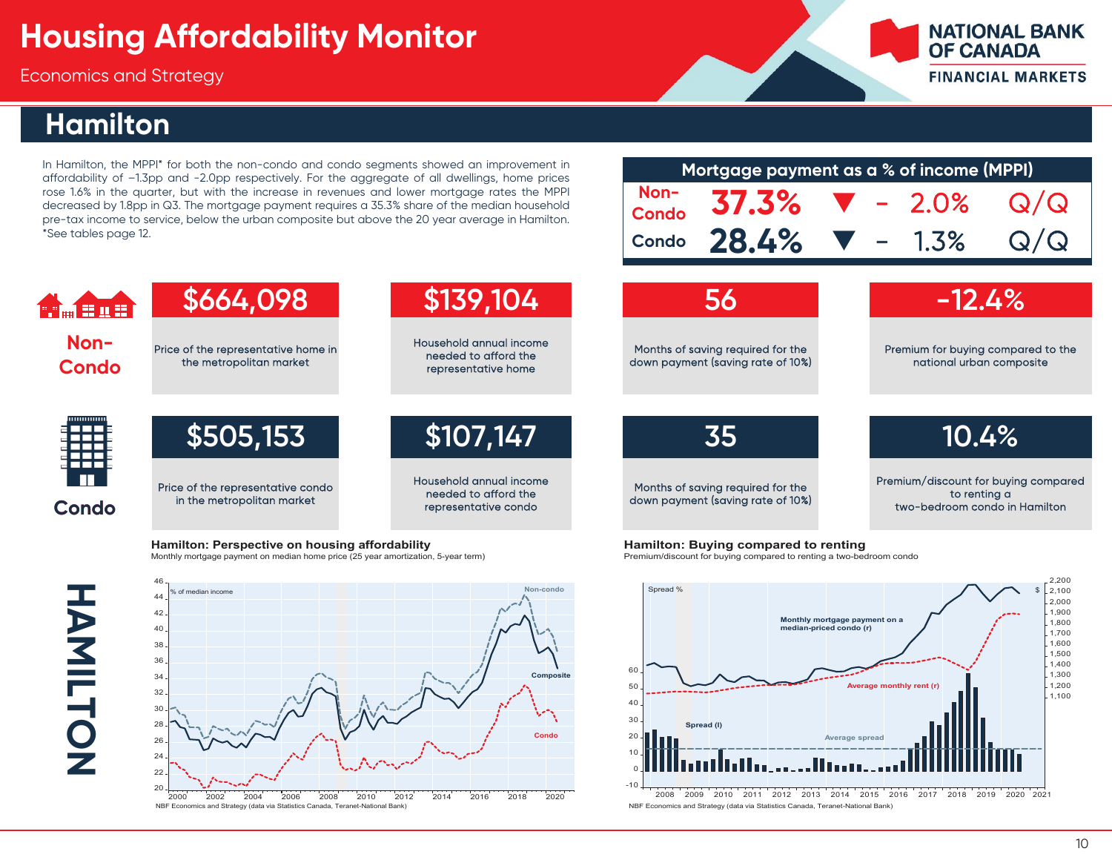Economics and Strategy

### **Hamilton**

In Hamilton, the MPPI\* for both the non-condo and condo segments showed an improvement in affordability of –1.3pp and -2.0pp respectively. For the aggregate of all dwellings, home prices rose 1.6% in the quarter, but with the increase in revenues and lower mortgage rates the MPPI decreased by 1.8pp in Q3. The mortgage payment requires <sup>a</sup> 35.3% share of the median household pre-tax income to service, below the urban composite but above the 20 year average in Hamilton. \*See tables page 12.

| Mortgage payment as a % of income (MPPI)   |  |     |
|--------------------------------------------|--|-----|
| Non- 37.3% $\blacktriangledown$ - 2.0%     |  | Q/Q |
| Condo $28.4\%$ $\blacktriangledown$ - 1.3% |  | Q/Q |

**NATIONAL BANK** 

**FINANCIAL MARKETS** 

**OF CANADA** 

| H <sub>m</sub> fine  | \$664,098                                                       | \$139,104                                                               | 56                                                                     | $-12.4%$                                                                              |
|----------------------|-----------------------------------------------------------------|-------------------------------------------------------------------------|------------------------------------------------------------------------|---------------------------------------------------------------------------------------|
| Non-<br><b>Condo</b> | Price of the representative home in<br>the metropolitan market  | Household annual income<br>needed to afford the<br>representative home  | Months of saving required for the<br>down payment (saving rate of 10%) | Premium for buying compared to the<br>national urban composite                        |
|                      | \$505,153                                                       | \$107,147                                                               | <b>35</b>                                                              | 10.4%                                                                                 |
| <b>Condo</b>         | Price of the representative condo<br>in the metropolitan market | Household annual income<br>needed to afford the<br>representative condo | Months of saving required for the<br>down payment (saving rate of 10%) | Premium/discount for buying compared<br>to renting a<br>two-bedroom condo in Hamilton |

**Hamilton: Perspective on housing affordability** Monthly mortgage payment on median home price (25 year amortization, 5-year term)



**Hamilton: Buying compared to renting** 

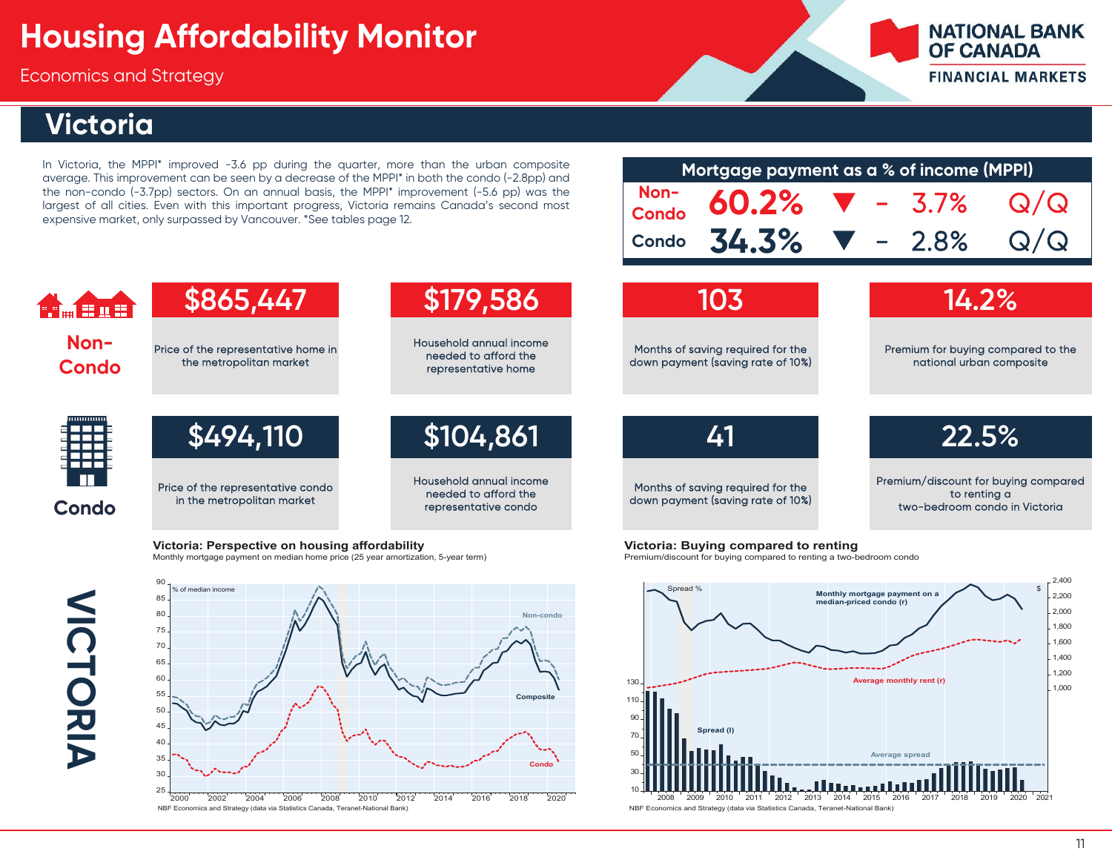Economics and Strategy

## **Victoria**

In Victoria, the MPPI\* improved -3.6 pp during the quarter, more than the urban composite average. This improvement can be seen by <sup>a</sup> decrease of the MPPI\* in both the condo (-2.8pp) and the non-condo (-3.7pp) sectors. On an annual basis, the MPPI\* improvement (-5.6 pp) was the largest of all cities. Even with this important progress, Victoria remains Canada's second most expensive market, only surpassed by Vancouver. \*See tables page 12.

| Mortgage payment as a % of income (MPPI)           |  |  |  |     |  |  |  |  |
|----------------------------------------------------|--|--|--|-----|--|--|--|--|
| Non-<br>Condo $60.2\%$ $\blacktriangledown$ - 3.7% |  |  |  | Q/Q |  |  |  |  |
| Condo $34.3\%$ $\blacktriangledown$ - 2.8%         |  |  |  | Q/Q |  |  |  |  |
|                                                    |  |  |  |     |  |  |  |  |

**NATIONAL BANK** 

**FINANCIAL MARKETS** 

**OF CANADA** 

#### **\$865,447 \$179,586 103 14.2% Company Non-**Household annual income Price of the representative home in Months of saving required for the Premium for buying compared to the needed to afford the the metropolitan market down payment (saving rate of 10%) national urban composite **Condo** representative home **\$494,110 \$104,861 41 22.5%** Household annual income Premium/discount for buying compared Price of the representative condo Months of saving required for the needed to afford the to renting a in the metropolitan market down payment (saving rate of 10%) **Condo** representative condo two-bedroom condo in Victoria

**Victoria: Perspective on housing affordability** 

Monthly mortgage payment on median home price (25 year amortization, 5-year term)

**VICTORIA VICTORIA** 



**Victoria: Buying compared to renting** 

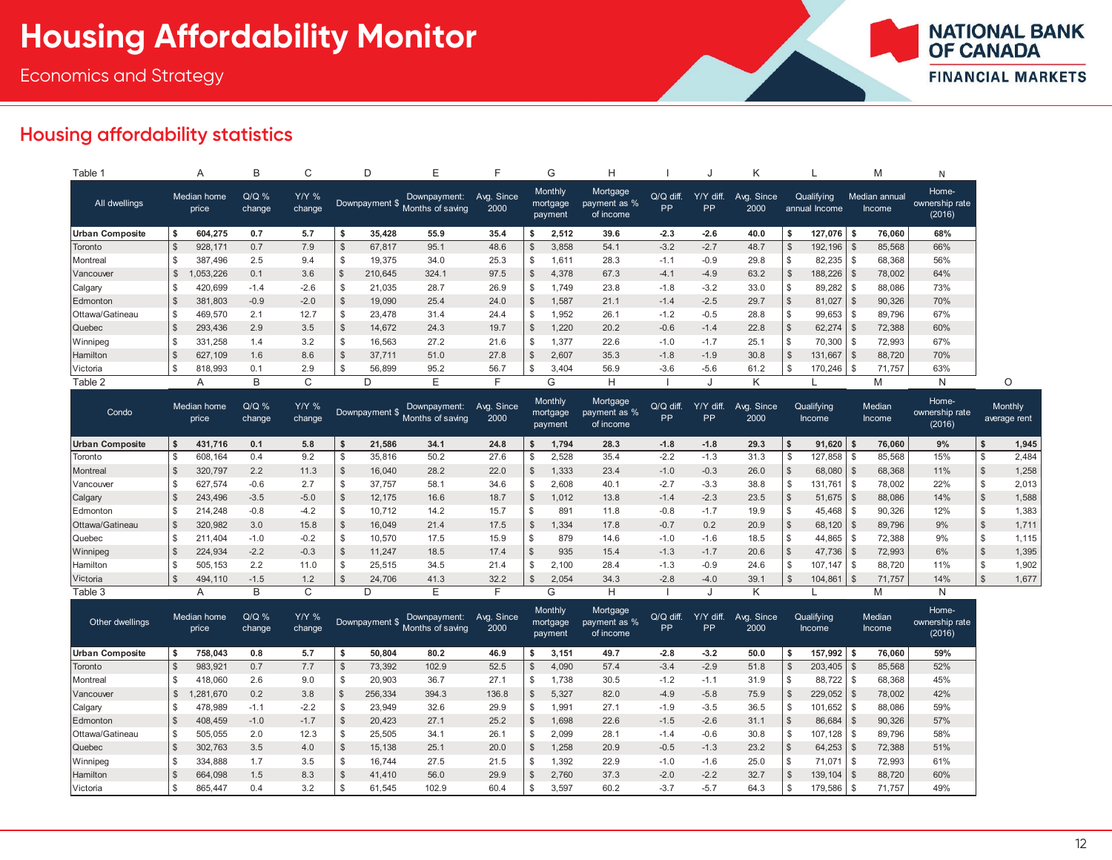

#### **Housing affordability statistics**

| Table 1                |                | A                    | B                 |                        |                |                |                                  |                    | G                              |                                       |                   |                 |                    |                |                             |      | M                       | N                                 |
|------------------------|----------------|----------------------|-------------------|------------------------|----------------|----------------|----------------------------------|--------------------|--------------------------------|---------------------------------------|-------------------|-----------------|--------------------|----------------|-----------------------------|------|-------------------------|-----------------------------------|
| All dwellings          |                | Median home<br>price | $Q/Q$ %<br>change | <b>Y/Y %</b><br>change |                | Downpayment \$ | Downpayment:<br>Months of saving | Avg. Since<br>2000 | Monthly<br>mortgage<br>payment | Mortgage<br>payment as %<br>of income | $Q/Q$ diff.<br>PP | Y/Y diff.<br>PP | Avg. Since<br>2000 |                | Qualifying<br>annual Income |      | Median annual<br>Income | Home-<br>ownership rate<br>(2016) |
| <b>Urban Composite</b> |                | 604,275              | 0.7               | 5.7                    |                | 35,428         | 55.9                             | 35.4               | 2,512                          | 39.6                                  | $-2.3$            | $-2.6$          | 40.0               | S              | 127,076                     | ΙS   | 76,060                  | 68%                               |
| Toronto                | $\mathbb{S}$   | 928, 171             | 0.7               | 7.9                    |                | 67,817         | 95.1                             | 48.6               | 3,858                          | 54.1                                  | $-3.2$            | $-2.7$          | 48.7               | $\mathcal{S}$  | 192,196                     |      | 85,568                  | 66%                               |
| Montreal               |                | 387.496              | 2.5               | 9.4                    | S              | 19,375         | 34.0                             | 25.3               | .611                           | 28.3                                  | $-1.1$            | $-0.9$          | 29.8               |                | 82,235                      | - \$ | 68,368                  | 56%                               |
| Vancouver              |                | ,053,226             | 0.1               | 3.6                    | $\mathfrak{L}$ | 210,645        | 324.1                            | 97.5               | 4.378                          | 67.3                                  | $-4.1$            | $-4.9$          | 63.2               | $\mathfrak{S}$ | 188,226                     |      | 78,002                  | 64%                               |
| Calgary                |                | 420,699              | $-1.4$            | $-2.6$                 | S              | 21,035         | 28.7                             | 26.9               | .749                           | 23.8                                  | $-1.8$            | $-3.2$          | 33.0               |                | 89,282                      |      | 88,086                  | 73%                               |
| Edmonton               |                | 381,803              | $-0.9$            | $-2.0$                 | - \$           | 19,090         | 25.4                             | 24.0               | 1.587                          | 21.1                                  | $-1.4$            | $-2.5$          | 29.7               |                | 81,027                      |      | 90,326                  | 70%                               |
| Ottawa/Gatineau        | \$             | 469,570              | 2.1               | 12.7                   | S              | 23,478         | 31.4                             | 24.4               | 1.952                          | 26.1                                  | $-1.2$            | $-0.5$          | 28.8               |                | 99,653                      |      | 89,796                  | 67%                               |
| Quebec                 | $\mathfrak{L}$ | 293,436              | 2.9               | 3.5                    | - 35           | 14,672         | 24.3                             | 19.7               | 1,220                          | 20.2                                  | $-0.6$            | $-1.4$          | 22.8               |                | 62,274                      |      | 72,388                  | 60%                               |
| Winnipeg               | $\mathbf{s}$   | 331,258              | 1.4               | 3.2                    | \$             | 16,563         | 27.2                             | 21.6               | 1,377                          | 22.6                                  | $-1.0$            | $-1.7$          | 25.1               |                | 70,300                      |      | 72,993                  | 67%                               |
| Hamilton               | $\mathfrak{L}$ | 627,109              | 1.6               | 8.6                    |                | 37,711         | 51.0                             | 27.8               | 2,607                          | 35.3                                  | $-1.8$            | $-1.9$          | 30.8               |                | 131,667                     |      | 88,720                  | 70%                               |
| Victoria               |                | 818,993              | 0.1               | 2.9                    | -S             | 56,899         | 95.2                             | 56.7               | \$<br>3.404                    | 56.9                                  | $-3.6$            | $-5.6$          | 61.2               |                | 170,246                     |      | 71,757                  | 63%                               |
| Table 2                |                |                      | B                 | ⌒                      |                |                |                                  | F                  | $\sim$<br>G                    |                                       |                   |                 | K                  |                |                             |      | M                       | N                                 |

| Condo                  | Median home<br>price |         | $Q/Q$ %<br>Y/Y %<br>change<br>change |        | Downpayment \$ |        | Downpayment:<br>Months of saving | Avg. Since<br>2000 | Monthly<br>mortgage<br>payment |        | Mortgage<br>payment as %<br>of income | Q/Q diff.<br><b>PP</b> | diff.<br>Y/Y<br>PP. | Avg. Since<br>2000 | Qualifying<br><b>Income</b> |  | Median<br>Income | Home-<br>ownership rate<br>(2016) | Monthly<br>average rent |       |
|------------------------|----------------------|---------|--------------------------------------|--------|----------------|--------|----------------------------------|--------------------|--------------------------------|--------|---------------------------------------|------------------------|---------------------|--------------------|-----------------------------|--|------------------|-----------------------------------|-------------------------|-------|
| <b>Urban Composite</b> |                      | 431,716 | 0.1                                  | 5.8    |                | 21,586 | 34.1                             | 24.8               |                                | 1.794  | 28.3                                  | $-1.8$                 | $-1.8$              | 29.3               | 91,620                      |  | 76,060           | 9%                                |                         | 1,945 |
| Toronto                |                      | 608,164 | 0.4                                  | 9.2    |                | 35,816 | 50.2                             | 27.6               |                                | 2,528  | 35.4                                  | $-2.2$                 | $-1.3$              | 31.3               | 127,858                     |  | 85,568           | 15%                               |                         | 2,484 |
| Montreal               |                      | 320,797 | 2.2                                  | 11.3   |                | 16,040 | 28.2                             | 22.0               |                                | 1,333  | 23.4                                  | $-1.0$                 | $-0.3$              | 26.0               | 68,080                      |  | 68,368           | 11%                               |                         | 1,258 |
| Vancouver              |                      | 627,574 | $-0.6$                               | 2.7    |                | 37,757 | 58.1                             | 34.6               |                                | 2,608  | 40.1                                  | $-2.7$                 | $-3.3$              | 38.8               | 131,761                     |  | 78,002           | 22%                               |                         | 2,013 |
| Calgary                |                      | 243,496 | $-3.5$                               | $-5.0$ |                | 12,175 | 16.6                             | 18.7               |                                | 1,012  | 13.8                                  | $-1.4$                 | $-2.3$              | 23.5               | 51,675                      |  | 88,086           | 14%                               |                         | 1,588 |
| Edmonton               |                      | 214,248 | $-0.8$                               | $-4.2$ |                | 10,712 | 14.2                             | 15.7               |                                | 891    | 11.8                                  | $-0.8$                 | $-1.7$              | 19.9               | 45,468                      |  | 90,326           | 12%                               |                         | 1,383 |
| Ottawa/Gatineau        |                      | 320,982 | 3.0                                  | 15.8   |                | 16,049 | 21.4                             | 17.5               |                                | 1,334  | 17.8                                  | $-0.7$                 | 0.2                 | 20.9               | 68,120                      |  | 89,796           | 9%                                |                         | 1,711 |
| Quebec                 |                      | 211.404 | $-1.0$                               | $-0.2$ |                | 10,570 | 17.5                             | 15.9               |                                | 879    | 14.6                                  | $-1.0$                 | $-1.6$              | 18.5               | 44,865                      |  | 72,388           | 9%                                | \$                      | 1,115 |
| Winnipeg               |                      | 224,934 | $-2.2$                               | $-0.3$ |                | 11,247 | 18.5                             | 17.4               |                                | 935    | 15.4                                  | $-1.3$                 | $-1.7$              | 20.6               | 47,736                      |  | 72,993           | 6%                                |                         | 1,395 |
| Hamilton               |                      | 505,153 | 2.2                                  | 11.0   |                | 25,515 | 34.5                             | 21.4               |                                | 2,100  | 28.4                                  | $-1.3$                 | $-0.9$              | 24.6               | 107,147                     |  | 88,720           | 11%                               | \$                      | 1,902 |
| Victoria               |                      | 494,110 | $-1.5$                               | 1.2    |                | 24,706 | 41.3                             | 32.2               |                                | 2,054  | 34.3                                  | $-2.8$                 | $-4.0$              | 39.1               | 104,861                     |  | 71,757           | 14%                               |                         | 1,677 |
| Table 3                |                      |         | B                                    | $\sim$ |                |        |                                  |                    |                                | ⌒<br>G |                                       |                        |                     |                    |                             |  |                  |                                   |                         |       |

| Other dwellings |     | Median home<br>price | $Q/Q$ %<br>change | <b>Y/Y %</b><br>change |    | Downpayment \$ | Downpayment:<br>Months of saving | Avg. Since<br>2000 | Monthly<br>mortgage<br>payment |       | Mortgage<br>payment as %<br>of income | $Q/Q$ diff.<br><b>PP</b> | Y/Y diff.<br><b>PP</b> | Avg. Since<br>2000 | Qualifying<br>Income |              | Median<br><b>Income</b> | Home-<br>ownership rate<br>(2016) |  |
|-----------------|-----|----------------------|-------------------|------------------------|----|----------------|----------------------------------|--------------------|--------------------------------|-------|---------------------------------------|--------------------------|------------------------|--------------------|----------------------|--------------|-------------------------|-----------------------------------|--|
| Urban Composite |     | 758.043              | 0.8               | 5.7                    |    | 50.804         | 80.2                             | 46.9               |                                | 3.151 | 49.7                                  | $-2.8$                   | $-3.2$                 | 50.0               | 157.992              |              | 76.060                  | 59%                               |  |
| Toronto         |     | 983,921              | 0.7               | 7.7                    |    | 73,392         | 102.9                            | 52.5               |                                | 4,090 | 57.4                                  | $-3.4$                   | $-2.9$                 | 51.8               | 203,405              |              | 85,568                  | 52%                               |  |
| Montreal        |     | 418.060              | 2.6               | 9.0                    | S  | 20,903         | 36.7                             | 27.1               |                                | .738  | 30.5                                  | $-1.2$                   | $-1.1$                 | 31.9               | 88,722               |              | 68,368                  | 45%                               |  |
| Vancouver       |     | .281.670             | 0.2               | 3.8                    |    | 256,334        | 394.3                            | 136.8              |                                | 5,327 | 82.0                                  | $-4.9$                   | $-5.8$                 | 75.9               | 229,052              |              | 78,002                  | 42%                               |  |
| Calgary         |     | 478,989              | $-1.1$            | $-2.2$                 |    | 23.949         | 32.6                             | 29.9               |                                | .991  | 27.1                                  | $-1.9$                   | $-3.5$                 | 36.5               | 101.652              |              | 88,086                  | 59%                               |  |
| Edmonton        |     | 408.459              | $-1.0$            | $-1.7$                 |    | 20.423         | 27.1                             | 25.2               |                                | 1.698 | 22.6                                  | $-1.5$                   | $-2.6$                 | 31.1               | 86,684               | $\mathbf{s}$ | 90,326                  | 57%                               |  |
| Ottawa/Gatineau | \$. | 505.055              | 2.0               | 12.3                   | ৬  | 25.505         | 34.1                             | 26.1               |                                | 2.099 | 28.1                                  | $-1.4$                   | $-0.6$                 | 30.8               | 107.128              | -\$          | 89,796                  | 58%                               |  |
| Quebec          |     | 302,763              | 3.5               | 4.0                    | -S | 15.138         | 25.1                             | 20.0               |                                | .258  | 20.9                                  | $-0.5$                   | $-1.3$                 | 23.2               | 64,253               |              | 72,388                  | 51%                               |  |
| Winnipeg        |     | 334.888              | 1.7               | 3.5                    |    | 16.744         | 27.5                             | 21.5               | \$                             | .392  | 22.9                                  | $-1.0$                   | $-1.6$                 | 25.0               | 71.071               | -\$          | 72,993                  | 61%                               |  |
| Hamilton        |     | 664.098              | 1.5               | 8.3                    | ා. | 41.410         | 56.0                             | 29.9               | \$                             | 2.760 | 37.3                                  | $-2.0$                   | $-2.2$                 | 32.7               | 139.104              | - \$         | 88,720                  | 60%                               |  |
| Victoria        |     | 865,447              | 0.4               | 3.2                    |    | 61,545         | 102.9                            | 60.4               | $\mathfrak{L}$                 | 3,597 | 60.2                                  | $-3.7$                   | $-5.7$                 | 64.3               | 179,586              |              | 71,757                  | 49%                               |  |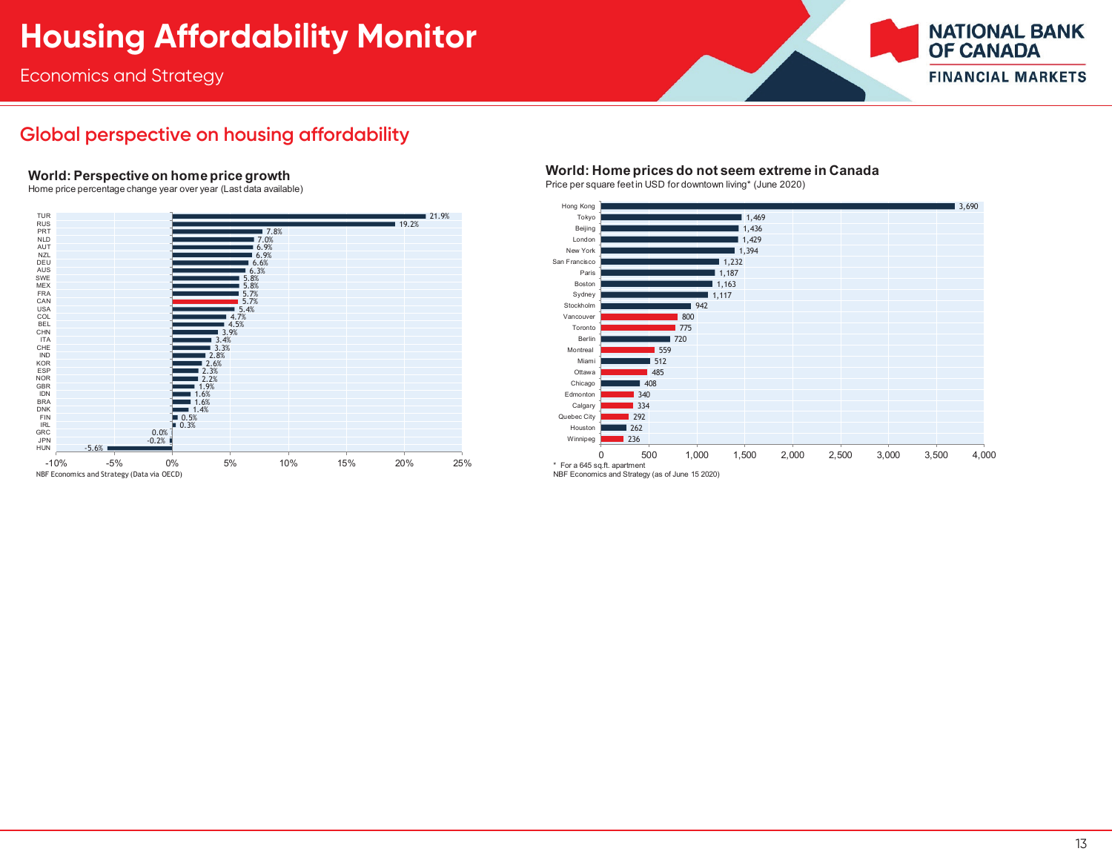Economics and Strategy



#### **Global perspective on housing affordability**

#### **World: Perspective on home price growth**

Home price percentage change year over year (Last data available)



#### **World: Home prices do not seem extreme in Canada**

Price per square feet in USD for downtown living\* (June 2020)

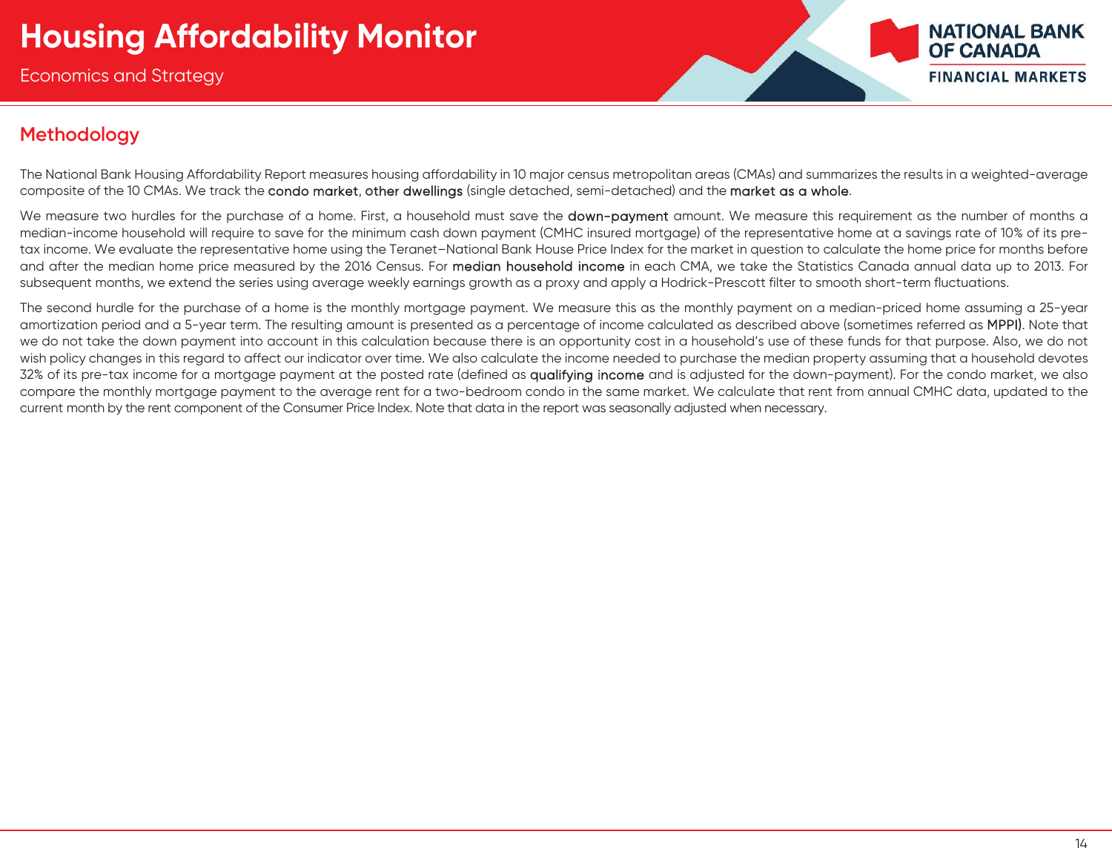

#### **Methodology**

The National Bank Housing Affordability Report measures housing affordability in 10 major census metropolitan areas (CMAs) and summarizes the results in a weighted-average composite of the 10 CMAs. We track the condo market, other dwellings (single detached, semi-detached) and the market as a whole.

We measure two hurdles for the purchase of a home. First, a household must save the **down-payment** amount. We measure this requirement as the number of months a median-income household will require to save for the minimum cash down payment (CMHC insured mortgage) of the representative home at a savings rate of 10% of its pretax income. We evaluate the representative home using the Teranet–National Bank House Price Index for the market in question to calculate the home price for months before and after the median home price measured by the 2016 Census. For median household income in each CMA, we take the Statistics Canada annual data up to 2013. For subsequent months, we extend the series using average weekly earnings growth as a proxy and apply a Hodrick-Prescott filter to smooth short-term fluctuations.

The second hurdle for the purchase of a home is the monthly mortgage payment. We measure this as the monthly payment on a median-priced home assuming a 25-year amortization period and a 5-year term. The resulting amount is presented as a percentage of income calculated as described above (sometimes referred as MPPI). Note that we do not take the down payment into account in this calculation because there is an opportunity cost in a household's use of these funds for that purpose. Also, we do not wish policy changes in this regard to affect our indicator over time. We also calculate the income needed to purchase the median property assuming that a household devotes 32% of its pre-tax income for a mortgage payment at the posted rate (defined as qualifying income and is adjusted for the down-payment). For the condo market, we also compare the monthly mortgage payment to the average rent for a two-bedroom condo in the same market. We calculate that rent from annual CMHC data, updated to the current month by the rent component of the Consumer Price Index. Note that data in the report was seasonally adjusted when necessary.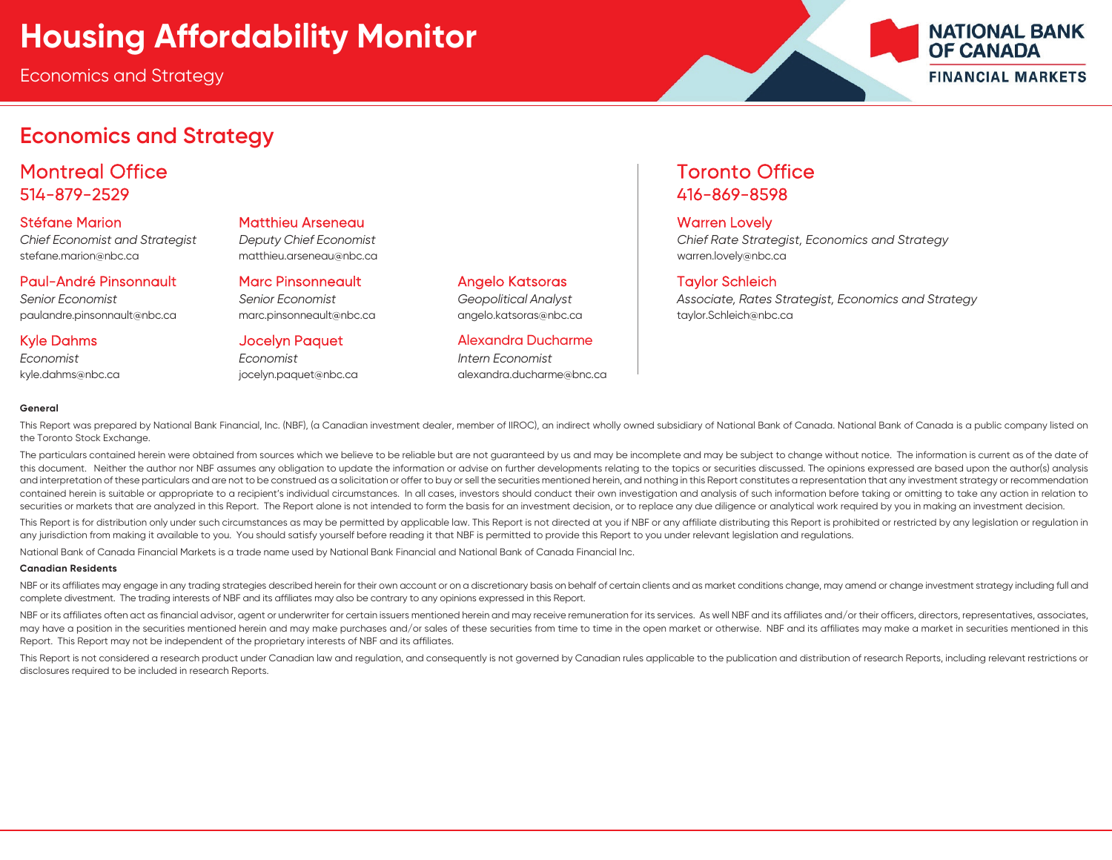#### **Economics and Strategy**

Montreal Office **Toronto Office** Toronto Office 514-879-2529 416-869-8598

Stéfane Marion Matthieu Arseneau Warren Lovely

stefane.marion@nbc.ca matthieu.arseneau@nbc.ca warren.lovely@nbc.ca

paulandre.pinsonnault@nbc.ca marc.pinsonneault@nbc.ca angelo.katsoras@nbc.ca taylor.Schleich@nbc.ca

*Economist Economist Intern Economist*

Paul-André Pinsonnault Marc Pinsonneault Angelo Katsoras Taylor Schleich

Kyle Dahms **Matter Alexandra Ducharme** Jocelyn Paquet **Alexandra Ducharme** 

kyle.dahms@nbc.ca is incelyn.paquet@nbc.ca alexandra.ducharme@bnc.ca alexandra.ducharme@bnc.ca

*Chief Economist and Strategist Deputy Chief Economist Chief Rate Strategist, Economics and Strategy*

*Senior Economist Senior Economist Geopolitical Analyst Associate, Rates Strategist, Economics and Strategy*

**NATIONAL BANK** 

**FINANCIAL MARKETS** 

**OF CANADA** 

#### **General**

This Report was prepared by National Bank Financial, Inc. (NBF), (a Canadian investment dealer, member of IIROC), an indirect wholly owned subsidiary of National Bank of Canada. National Bank of Canada is a public company the Toronto Stock Exchange.

The particulars contained herein were obtained from sources which we believe to be reliable but are not guaranteed by us and may be incomplete and may be subject to change without notice. The information is current as of t this document. Neither the author nor NBF assumes any obligation to update the information or advise on further developments relating to the topics or securities discussed. The opinions expressed are based upon the author( and interpretation of these particulars and are not to be construed as a solicitation or offer to buy or sell the securities mentioned herein, and nothing in this Report constitutes a representation that any investment str contained herein is suitable or appropriate to a recipient's individual circumstances. In all cases, investors should conduct their own investigation and analysis of such information before taking or omitting to take any a securities or markets that are analyzed in this Report. The Report alone is not intended to form the basis for an investment decision, or to replace any due diligence or analytical work required by you in making an investm

This Report is for distribution only under such circumstances as may be permitted by applicable law. This Report is not directed at you if NBF or any affiliate distributing this Report is prohibited or restricted by any le any jurisdiction from making it available to you. You should satisfy yourself before reading it that NBF is permitted to provide this Report to you under relevant leaislation and regulations.

National Bank of Canada Financial Markets is a trade name used by National Bank Financial and National Bank of Canada Financial Inc.

#### **Canadian Residents**

NBF or its affiliates may engage in any trading strategies described herein for their own account or on a discretionary basis on behalf of certain clients and as market conditions change, may amend or change investment str complete divestment. The trading interests of NBF and its affiliates may also be contrary to any opinions expressed in this Report.

NBF or its affiliates often act as financial advisor, agent or underwriter for certain issuers mentioned herein and may receive remuneration for its services. As well NBF and its affiliates and/or their officers, directors may have a position in the securities mentioned herein and may make purchases and/or sales of these securities from time to time in the open market or otherwise. NBF and its affiliates may make a market in securities menti Report. This Report may not be independent of the proprietary interests of NBF and its affiliates.

This Report is not considered a research product under Canadian law and regulation, and consequently is not governed by Canadian rules applicable to the publication and distribution of research Reports, including relevant disclosures required to be included in research Reports.